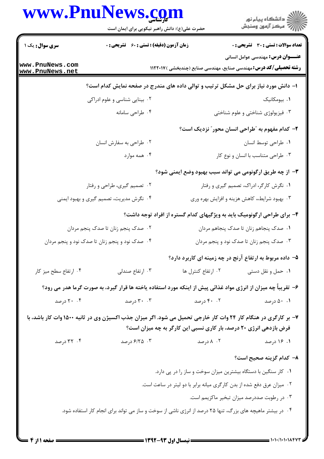| سری سوال: یک ۱<br>www.PnuNews.com<br>www.PnuNews.net                                                            | زمان آزمون (دقیقه) : تستی : 60 ٪ تشریحی : 0                    |                                                                                     | <b>تعداد سوالات : تستی : 30 ٪ تشریحی : 0</b>                                                                        |
|-----------------------------------------------------------------------------------------------------------------|----------------------------------------------------------------|-------------------------------------------------------------------------------------|---------------------------------------------------------------------------------------------------------------------|
|                                                                                                                 |                                                                |                                                                                     |                                                                                                                     |
|                                                                                                                 |                                                                |                                                                                     | <b>عنـــوان درس:</b> مهندسی عوامل انسانی<br><b>رشته تحصیلی/کد درس:</b> مهندسی صنایع، مهندسی صنایع (چندبخشی )۱۱۲۲۰۱۷ |
|                                                                                                                 |                                                                | ۱– دانش مورد نیاز برای حل مشکل ترتیب و توالی داده های مندرج در صفحه نمایش کدام است؟ |                                                                                                                     |
|                                                                                                                 | ۰۲ بینایی شناسی و علوم ادراکی                                  | ۰۱ بیومکانیک                                                                        |                                                                                                                     |
|                                                                                                                 | ۰۴ طراحی سامانه                                                |                                                                                     | ۰۳ فیزیولوژی شناختی و علوم شناختی                                                                                   |
|                                                                                                                 |                                                                |                                                                                     | ۲- کدام مفهوم به ″طراحی انسان محور″ نزدیک است؟                                                                      |
|                                                                                                                 | ۰۲ طراحی به سفارش انسان                                        |                                                                                     | ٠١. طراحي توسط انسان                                                                                                |
|                                                                                                                 | ۰۴ همه موارد                                                   |                                                                                     | ۰۳ طراحی متناسب با انسان و نوع کار                                                                                  |
|                                                                                                                 |                                                                |                                                                                     | ۳- از چه طریق ارگونومی می تواند سبب بهبود وضع ایمنی شود؟                                                            |
|                                                                                                                 | ۰۲ تصمیم گیری، طراحی و رفتار                                   | ۰۱ نگرش کارگر، ادراک، تصمیم گیری و رفتار                                            |                                                                                                                     |
| ۰۴ نگرش مدیریت، تصمیم گیری و بهبود ایمنی                                                                        |                                                                | ۰۳ بهبود شرایط،، کاهش هزینه و افزایش بهره وری                                       |                                                                                                                     |
|                                                                                                                 |                                                                | ۴- برای طراحی ارگونومیک باید به ویژگیهای کدام گستره از افراد توجه داشت؟             |                                                                                                                     |
|                                                                                                                 | ۰۲ صدک پنجم زنان تا صدک پنجم مردان                             | ۰۱ صدک پنجاهم زنان تا صدک پنجاهم مردان                                              |                                                                                                                     |
| ۰۴ صدک نود و پنجم زنان تا صدک نود و پنجم مردان                                                                  |                                                                |                                                                                     | ۰۳ صدک پنجم زنان تا صدک نود و پنجم مردان                                                                            |
|                                                                                                                 |                                                                | ۵- داده مربوط به ارتفاع آرنج در چه زمینه ای کاربرد دارد؟                            |                                                                                                                     |
| ۰۴ ارتفاع سطح ميز كار                                                                                           | ۰۳ ارتفاع صندلی                                                | ۰۲ ارتفاع کنترل ها                                                                  | ٠١ حمل و نقل دستي                                                                                                   |
| ۶– تقریباً چه میزان از انرژی مواد غذائی پیش از اینکه مورد استفاده یاخته ها قرار گیرد، به صورت گرما هدر می رود؟  |                                                                |                                                                                     |                                                                                                                     |
| ۲۰ . ۲۰ درصد                                                                                                    | ۰۳ درصد                                                        | ۴۰ . ۴۰ درصد                                                                        | ۰۱ درصد                                                                                                             |
| ۷- بر کارگری در هنگام کار ۲۴ وات کار خارجی تحمیل می شود. اگر میزان جذب اکسیژن وی در ثانیه ۱۵۰۰ وات کار باشد، با |                                                                |                                                                                     |                                                                                                                     |
|                                                                                                                 |                                                                | فرض بازدهی انرژی ۲۰ درصد، بار کاری نسبی این کارگر به چه میزان است؟                  |                                                                                                                     |
| ۰۴ درصد                                                                                                         | ۰۳ ۶/۲۵ درصد                                                   | ۰۲ ۸ درصد                                                                           | ۰۱ ۱۶ درصد                                                                                                          |
|                                                                                                                 |                                                                |                                                                                     | ۸– کدام گزینه صحیح است؟                                                                                             |
|                                                                                                                 | ۰۱ کار سنگین با دستگاه بیشترین میزان سوخت و ساز را در پی دارد. |                                                                                     |                                                                                                                     |
|                                                                                                                 |                                                                | ۰۲ میزان عرق دفع شده از بدن کارگری میانه برابر با دو لیتر در ساعت است.              |                                                                                                                     |
|                                                                                                                 |                                                                |                                                                                     | ۰۳ در رطوبت صددرصد میزان تبخیر ماکزیمم است.                                                                         |

1.1./1.1.184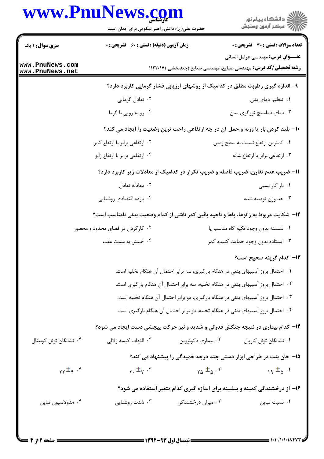## **NT**  $\blacksquare$

|                                    | www.rnurews.com<br>حضرت علی(ع): دانش راهبر نیکویی برای ایمان است                               |                    | د<br>د انشڪاه پيام نور<br>7 مرڪز آزمون وسنڊش                                                                        |
|------------------------------------|------------------------------------------------------------------------------------------------|--------------------|---------------------------------------------------------------------------------------------------------------------|
| <b>سری سوال : ۱ یک</b>             | <b>زمان آزمون (دقیقه) : تستی : 60 ٪ تشریحی : 0</b>                                             |                    | <b>تعداد سوالات : تستی : 30 ٪ تشریحی : 0</b>                                                                        |
| www.PnuNews.com<br>www.PnuNews.net |                                                                                                |                    | <b>عنـــوان درس:</b> مهندسی عوامل انسانی<br><b>رشته تحصیلی/کد درس:</b> مهندسی صنایع، مهندسی صنایع (چندبخشی )۱۱۲۲۰۱۷ |
|                                    |                                                                                                |                    | ۹- اندازه گیری رطوبت مطلق در کدامیک از روشهای ارزیابی فشار گرمایی کاربرد دارد؟                                      |
|                                    | ۰۲ تعادل گرمایی                                                                                |                    | ۰۱ تنظیم دمای بدن                                                                                                   |
|                                    | ۰۴ رو به رویی با گرما                                                                          |                    | ۰۳ دمای دماسنج تروگوی سان                                                                                           |
|                                    |                                                                                                |                    | ∙ا− بلند کردن بار یا وزنه و حمل آن در چه ارتفاعی راحت ترین وضعیت را ایجاد می کند؟                                   |
|                                    | ۰۲ ارتفاعی برابر با ارتفاع کمر                                                                 |                    | ٠١ كمترين ارتفاع نسبت به سطح زمين                                                                                   |
|                                    | ۰۴ ارتفاعی برابر با ارتفاع زانو                                                                |                    | ۰۳ ارتفاعی برابر با ارتفاع شانه                                                                                     |
|                                    | 11- ضریب عدم تقارن، ضریب فاصله و ضریب تکرار در کدامیک از معادلات زیر کاربرد دارد؟              |                    |                                                                                                                     |
|                                    | ۰۲ معادله تعادل                                                                                |                    | ۰۱ بار کار نسبی                                                                                                     |
|                                    | ۰۴ بازده اقتصادی روشنایی                                                                       |                    | ۰۳ حد وزن توصیه شده                                                                                                 |
|                                    | <b>۱۲</b> - شکایت مربوط به زانوها، پاها و ناحیه پائین کمر ناشی از کدام وضعیت بدنی نامناسب است؟ |                    |                                                                                                                     |
|                                    | ۰۲ کارکردن در فضای محدود و محصور                                                               |                    | ٠١ نشسته بدون وجود تكيه گاه مناسب پا                                                                                |
|                                    | ۰۴ خمش به سمت عقب                                                                              |                    | ۰۳ ایستاده بدون وجود حمایت کننده کمر                                                                                |
|                                    |                                                                                                |                    | ۱۳- کدام گزینه صحیح است؟                                                                                            |
|                                    |                                                                                                |                    | ١. احتمال بروز آسیبهای بدنی در هنگام بارگیری، سه برابر احتمال آن هنگام تخلیه است.                                   |
|                                    |                                                                                                |                    | ۰۲ احتمال بروز آسیبهای بدنی در هنگام تخلیه، سه برابر احتمال آن هنگام بارگیری است.                                   |
|                                    |                                                                                                |                    | ۰۳ احتمال بروز آسیبهای بدنی در هنگام بارگیری، دو برابر احتمال آن هنگام تخلیه است.                                   |
|                                    |                                                                                                |                    | ۰۴ احتمال بروز آسیبهای بدنی در هنگام تخلیه، دو برابر احتمال آن هنگام بارگیری است.                                   |
|                                    | ۱۴- کدام بیماری در نتیجه چنگش قدرتی و شدید و نیز حرکت پیچشی دست ایجاد می شود؟                  |                    |                                                                                                                     |
| ۰۴ نشانگان تونل کوبیتال            | ۰۳ التهاب كيسه زلالي                                                                           | ۰۲ بیماری دکوئروین | ۰۱ نشانگان تونل کارپال                                                                                              |
|                                    |                                                                                                |                    | 1۵- جان بنت در طراحی ابزار دستی چند درجه خمیدگی را پیشنهاد می کند؟                                                  |
| $\gamma$ <sup>+</sup> +            | $\gamma \cdot \frac{1}{\pm \gamma}$ .                                                          | $ra \pm a$ .       | $19 \pm 0.1$                                                                                                        |
|                                    |                                                                                                |                    | ۱۶– از درخشندگی کمینه و بیشینه برای اندازه گیری کدام متغیر استفاده می شود؟                                          |
| ۰۴ مدولاسيون تباين                 | ۰۳ شدت روشنایی                                                                                 | ۰۲ میزان درخشندگی  | ٠١ نسبت تباين                                                                                                       |
|                                    |                                                                                                |                    |                                                                                                                     |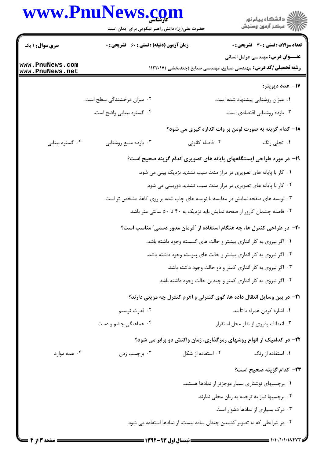## www.PnuNews.com

|                                    | www.PnuNews.com<br>حضرت علی(ع): دانش راهبر نیکویی برای ایمان است                |                   | ر دانشڪاه پيام نور<br>اڳ مرڪز آزمون وسنڊش                                                                            |  |
|------------------------------------|---------------------------------------------------------------------------------|-------------------|----------------------------------------------------------------------------------------------------------------------|--|
| <b>سری سوال : ۱ یک</b>             | <b>زمان آزمون (دقیقه) : تستی : 60 ٪ تشریحی : 0</b>                              |                   | تعداد سوالات : تستي : 30 - تشريحي : 0                                                                                |  |
| www.PnuNews.com<br>www.PnuNews.net |                                                                                 |                   | <b>عنــــوان درس:</b> مهندسی عوامل انسانی<br><b>رشته تحصیلی/کد درس:</b> مهندسی صنایع، مهندسی صنایع (چندبخشی )۱۱۲۲۰۱۷ |  |
|                                    |                                                                                 |                   | ۱۷– عدد ديوپتر:                                                                                                      |  |
|                                    | ۰۲ میزان درخشندگی سطح است.                                                      |                   | ۰۱ میزان روشنایی پیشنهاد شده است.                                                                                    |  |
|                                    | ۰۴ گستره بینایی واضح است.                                                       |                   | ۰۳ بازده روشنایی اقتصادی است.                                                                                        |  |
|                                    |                                                                                 |                   | ۱۸– کدام گزینه به صورت لومن بر وات اندازه گیری می شود؟                                                               |  |
| ۰۴ گستره بینایی                    | ۰۳ بازده منبع روشنايي                                                           | ۰۲ فاصله کانونی   | ١. تجلي رنگ                                                                                                          |  |
|                                    |                                                                                 |                   | ۱۹- در مورد طراحی ایستگاههای پایانه های تصویری کدام گزینه صحیح است؟                                                  |  |
|                                    | ۰۱ کار با پایانه های تصویری در دراز مدت سبب تشدید نزدیک بینی می شود.            |                   |                                                                                                                      |  |
|                                    | ۰۲ کار با پایانه های تصویری در دراز مدت سبب تشدید دوربینی می شود.               |                   |                                                                                                                      |  |
|                                    | ۰۳ نویسه های صفحه نمایش در مقایسه با نویسه های چاپ شده بر روی کاغذ مشخص تر است. |                   |                                                                                                                      |  |
|                                    | ۰۴ فاصله چشمان کارور از صفحه نمایش باید نزدیک به ۴۰ تا ۵۰ سانتی متر باشد.       |                   |                                                                                                                      |  |
|                                    |                                                                                 |                   | +۲- در طراحی کنترل ها، چه هنگام استفاده از "فرمان مدور دستی" مناسب است؟                                              |  |
|                                    | ۰۱ اگر نیروی به کار اندازی بیشتر و حالت های گسسته وجود داشته باشد.              |                   |                                                                                                                      |  |
|                                    | ۲. اگر نیروی به کار اندازی بیشتر و حالت های پیوسته وجود داشته باشد.             |                   |                                                                                                                      |  |
|                                    | ۰۳ اگر نیروی به کار اندازی کمتر و دو حالت وجود داشته باشد.                      |                   |                                                                                                                      |  |
|                                    | ۰۴ اگر نیروی به کار اندازی کمتر و چندین حالت وجود داشته باشد.                   |                   |                                                                                                                      |  |
|                                    |                                                                                 |                   | <b>۲۱</b> - در بین وسایل انتقال داده ها، گوی کنترلی و اهرم کنترل چه مزیتی دارند؟                                     |  |
|                                    | ۰۲ قدرت ترسیم                                                                   |                   | ۰۱ اشاره کردن همراه با تأييد                                                                                         |  |
|                                    | ۰۴ هماهنگی چشم و دست                                                            |                   | ٠٣ انعطاف پذيري از نظر محل استقرار                                                                                   |  |
|                                    |                                                                                 |                   | ۲۲- در کدامیک از انواع روشهای رمزگذاری، زمان واکنش دو برابر می شود؟                                                  |  |
| ۰۴ همه موارد                       | ۰۳ برچسب زدن                                                                    | ۰۲ استفاده از شکل | ۰۱ استفاده از رنگ                                                                                                    |  |
|                                    |                                                                                 |                   | ٢٣- كدام گزينه صحيح است؟                                                                                             |  |
|                                    |                                                                                 |                   | ۰۱ برچسبهای نوشتاری بسیار موجزتر از نمادها هستند.                                                                    |  |
|                                    |                                                                                 |                   | ۰۲ برچسبها نیاز به ترجمه به زبان محلی ندارند.                                                                        |  |
|                                    |                                                                                 |                   | ۰۳ درک بسیاری از نمادها دشوار است.                                                                                   |  |
|                                    |                                                                                 |                   | ۰۴ در شرایطی که به تصویر کشیدن چندان ساده نیست، از نمادها استفاده می شود.                                            |  |